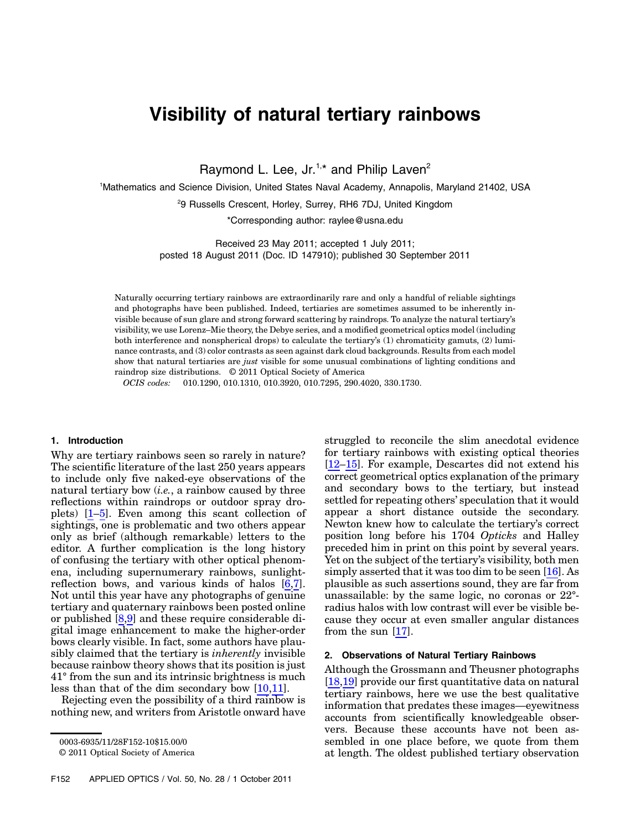# Visibility of natural tertiary rainbows

Raymond L. Lee,  $Jr^{1,*}$  and Philip Laven<sup>2</sup>

1 Mathematics and Science Division, United States Naval Academy, Annapolis, Maryland 21402, USA

<sup>2</sup>9 Russells Crescent, Horley, Surrey, RH6 7DJ, United Kingdom

\*Corresponding author: raylee@usna.edu

Received 23 May 2011; accepted 1 July 2011; posted 18 August 2011 (Doc. ID 147910); published 30 September 2011

Naturally occurring tertiary rainbows are extraordinarily rare and only a handful of reliable sightings and photographs have been published. Indeed, tertiaries are sometimes assumed to be inherently invisible because of sun glare and strong forward scattering by raindrops. To analyze the natural tertiary's visibility, we use Lorenz–Mie theory, the Debye series, and a modified geometrical optics model (including both interference and nonspherical drops) to calculate the tertiary's (1) chromaticity gamuts, (2) luminance contrasts, and (3) color contrasts as seen against dark cloud backgrounds. Results from each model show that natural tertiaries are just visible for some unusual combinations of lighting conditions and raindrop size distributions. © 2011 Optical Society of America

OCIS codes: 010.1290, 010.1310, 010.3920, 010.7295, 290.4020, 330.1730.

#### 1. Introduction

Why are tertiary rainbows seen so rarely in nature? The scientific literature of the last 250 years appears to include only five naked-eye observations of the natural tertiary bow  $(i.e., a rainbow caused by three$ reflections within raindrops or outdoor spray droplets) [1–5]. Even among this scant collection of sightings, one is problematic and two others appear only as brief (although remarkable) letters to the editor. A further complication is the long history of confusing the tertiary with other optical phenomena, including supernumerary rainbows, sunlightreflection bows, and various kinds of halos [6,7]. Not until this year have any photographs of genuine tertiary and quaternary rainbows been posted online or published [\[8](#page-8-0),[9](#page-8-1)] and these require considerable digital image enhancement to make the higher-order bows clearly visible. In fact, some authors have plausibly claimed that the tertiary is inherently invisible because rainbow theory shows that its position is just 41° from the sun and its intrinsic brightness is much less than that of the dim secondary bow [10,11].

Rejecting even the possibility of a third rainbow is nothing new, and writers from Aristotle onward have

F152 APPLIED OPTICS / Vol. 50, No. 28 / 1 October 2011

struggled to reconcile the slim anecdotal evidence for tertiary rainbows with existing optical theories [12–15]. For example, Descartes did not extend his correct geometrical optics explanation of the primary and secondary bows to the tertiary, but instead settled for repeating others' speculation that it would appear a short distance outside the secondary. Newton knew how to calculate the tertiary's correct position long before his 1704 Opticks and Halley preceded him in print on this point by several years. Yet on the subject of the tertiary's visibility, both men simply asserted that it was too dim to be seen [16]. As plausible as such assertions sound, they are far from unassailable: by the same logic, no coronas or 22° radius halos with low contrast will ever be visible because they occur at even smaller angular distances from the sun [17].

### 2. Observations of Natural Tertiary Rainbows

Although the Grossmann and Theusner photographs [18,19] provide our first quantitative data on natural tertiary rainbows, here we use the best qualitative information that predates these images—eyewitness accounts from scientifically knowledgeable observers. Because these accounts have not been assembled in one place before, we quote from them at length. The oldest published tertiary observation

<sup>0003-6935/11/28</sup>F152-10\$15.00/0

<sup>© 2011</sup> Optical Society of America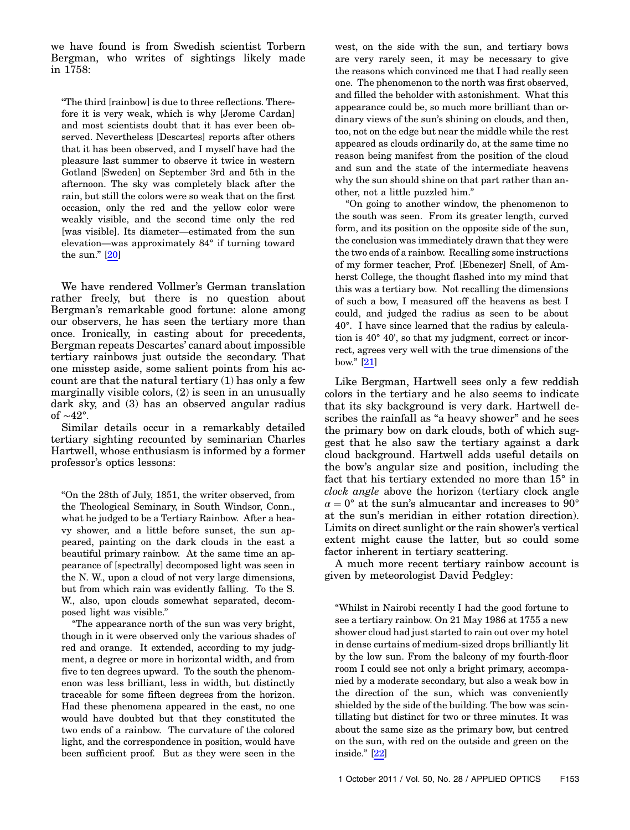we have found is from Swedish scientist Torbern Bergman, who writes of sightings likely made in 1758:

"The third [rainbow] is due to three reflections. Therefore it is very weak, which is why [Jerome Cardan] and most scientists doubt that it has ever been observed. Nevertheless [Descartes] reports after others that it has been observed, and I myself have had the pleasure last summer to observe it twice in western Gotland [Sweden] on September 3rd and 5th in the afternoon. The sky was completely black after the rain, but still the colors were so weak that on the first occasion, only the red and the yellow color were weakly visible, and the second time only the red [was visible]. Its diameter—estimated from the sun elevation—was approximately 84° if turning toward the sun." [20]

We have rendered Vollmer's German translation rather freely, but there is no question about Bergman's remarkable good fortune: alone among our observers, he has seen the tertiary more than once. Ironically, in casting about for precedents, Bergman repeats Descartes' canard about impossible tertiary rainbows just outside the secondary. That one misstep aside, some salient points from his account are that the natural tertiary (1) has only a few marginally visible colors, (2) is seen in an unusually dark sky, and (3) has an observed angular radius of <sup>∼</sup>42°.

Similar details occur in a remarkably detailed tertiary sighting recounted by seminarian Charles Hartwell, whose enthusiasm is informed by a former professor's optics lessons:

"On the 28th of July, 1851, the writer observed, from the Theological Seminary, in South Windsor, Conn., what he judged to be a Tertiary Rainbow. After a heavy shower, and a little before sunset, the sun appeared, painting on the dark clouds in the east a beautiful primary rainbow. At the same time an appearance of [spectrally] decomposed light was seen in the N. W., upon a cloud of not very large dimensions, but from which rain was evidently falling. To the S. W., also, upon clouds somewhat separated, decomposed light was visible."

"The appearance north of the sun was very bright, though in it were observed only the various shades of red and orange. It extended, according to my judgment, a degree or more in horizontal width, and from five to ten degrees upward. To the south the phenomenon was less brilliant, less in width, but distinctly traceable for some fifteen degrees from the horizon. Had these phenomena appeared in the east, no one would have doubted but that they constituted the two ends of a rainbow. The curvature of the colored light, and the correspondence in position, would have been sufficient proof. But as they were seen in the west, on the side with the sun, and tertiary bows are very rarely seen, it may be necessary to give the reasons which convinced me that I had really seen one. The phenomenon to the north was first observed, and filled the beholder with astonishment. What this appearance could be, so much more brilliant than ordinary views of the sun's shining on clouds, and then, too, not on the edge but near the middle while the rest appeared as clouds ordinarily do, at the same time no reason being manifest from the position of the cloud and sun and the state of the intermediate heavens why the sun should shine on that part rather than another, not a little puzzled him."

"On going to another window, the phenomenon to the south was seen. From its greater length, curved form, and its position on the opposite side of the sun, the conclusion was immediately drawn that they were the two ends of a rainbow. Recalling some instructions of my former teacher, Prof. [Ebenezer] Snell, of Amherst College, the thought flashed into my mind that this was a tertiary bow. Not recalling the dimensions of such a bow, I measured off the heavens as best I could, and judged the radius as seen to be about 40°. I have since learned that the radius by calculation is 40° 40', so that my judgment, correct or incorrect, agrees very well with the true dimensions of the bow." [21]

Like Bergman, Hartwell sees only a few reddish colors in the tertiary and he also seems to indicate that its sky background is very dark. Hartwell describes the rainfall as "a heavy shower" and he sees the primary bow on dark clouds, both of which suggest that he also saw the tertiary against a dark cloud background. Hartwell adds useful details on the bow's angular size and position, including the fact that his tertiary extended no more than 15° in clock angle above the horizon (tertiary clock angle  $\alpha = 0^{\circ}$  at the sun's almucantar and increases to 90° at the sun's meridian in either rotation direction). Limits on direct sunlight or the rain shower's vertical extent might cause the latter, but so could some factor inherent in tertiary scattering.

A much more recent tertiary rainbow account is given by meteorologist David Pedgley:

"Whilst in Nairobi recently I had the good fortune to see a tertiary rainbow. On 21 May 1986 at 1755 a new shower cloud had just started to rain out over my hotel in dense curtains of medium-sized drops brilliantly lit by the low sun. From the balcony of my fourth-floor room I could see not only a bright primary, accompanied by a moderate secondary, but also a weak bow in the direction of the sun, which was conveniently shielded by the side of the building. The bow was scintillating but distinct for two or three minutes. It was about the same size as the primary bow, but centred on the sun, with red on the outside and green on the inside." [22]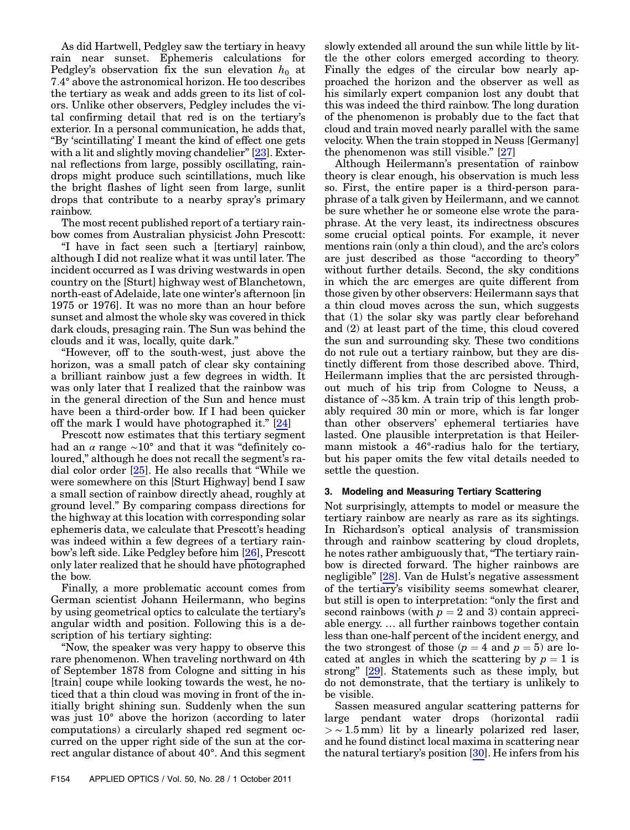As did Hartwell, Pedgley saw the tertiary in heavy rain near sunset. Ephemeris calculations for Pedgley's observation fix the sun elevation  $h_0$  at 7:4° above the astronomical horizon. He too describes the tertiary as weak and adds green to its list of colors. Unlike other observers, Pedgley includes the vital confirming detail that red is on the tertiary's exterior. In a personal communication, he adds that, "By 'scintillating' I meant the kind of effect one gets with a lit and slightly moving chandelier" [23]. External reflections from large, possibly oscillating, raindrops might produce such scintillations, much like the bright flashes of light seen from large, sunlit drops that contribute to a nearby spray's primary rainbow.

The most recent published report of a tertiary rainbow comes from Australian physicist John Prescott:

"I have in fact seen such a [tertiary] rainbow, although I did not realize what it was until later. The incident occurred as I was driving westwards in open country on the [Sturt] highway west of Blanchetown, north-east of Adelaide, late one winter's afternoon [in 1975 or 1976]. It was no more than an hour before sunset and almost the whole sky was covered in thick dark clouds, presaging rain. The Sun was behind the clouds and it was, locally, quite dark."

"However, off to the south-west, just above the horizon, was a small patch of clear sky containing a brilliant rainbow just a few degrees in width. It was only later that I realized that the rainbow was in the general direction of the Sun and hence must have been a third-order bow. If I had been quicker off the mark I would have photographed it." [24]

Prescott now estimates that this tertiary segment had an  $\alpha$  range  $\sim 10^{\circ}$  and that it was "definitely coloured," although he does not recall the segment's radial color order [25]. He also recalls that "While we were somewhere on this [Sturt Highway] bend I saw a small section of rainbow directly ahead, roughly at ground level." By comparing compass directions for the highway at this location with corresponding solar ephemeris data, we calculate that Prescott's heading was indeed within a few degrees of a tertiary rainbow's left side. Like Pedgley before him [26], Prescott only later realized that he should have photographed the bow.

Finally, a more problematic account comes from German scientist Johann Heilermann, who begins by using geometrical optics to calculate the tertiary's angular width and position. Following this is a description of his tertiary sighting:

"Now, the speaker was very happy to observe this rare phenomenon. When traveling northward on 4th of September 1878 from Cologne and sitting in his [train] coupe while looking towards the west, he noticed that a thin cloud was moving in front of the initially bright shining sun. Suddenly when the sun was just 10° above the horizon (according to later computations) a circularly shaped red segment occurred on the upper right side of the sun at the correct angular distance of about 40°. And this segment slowly extended all around the sun while little by little the other colors emerged according to theory. Finally the edges of the circular bow nearly approached the horizon and the observer as well as his similarly expert companion lost any doubt that this was indeed the third rainbow. The long duration of the phenomenon is probably due to the fact that cloud and train moved nearly parallel with the same velocity. When the train stopped in Neuss [Germany] the phenomenon was still visible." [27]

Although Heilermann's presentation of rainbow theory is clear enough, his observation is much less so. First, the entire paper is a third-person paraphrase of a talk given by Heilermann, and we cannot be sure whether he or someone else wrote the paraphrase. At the very least, its indirectness obscures some crucial optical points. For example, it never mentions rain (only a thin cloud), and the arc's colors are just described as those "according to theory" without further details. Second, the sky conditions in which the arc emerges are quite different from those given by other observers: Heilermann says that a thin cloud moves across the sun, which suggests that (1) the solar sky was partly clear beforehand and (2) at least part of the time, this cloud covered the sun and surrounding sky. These two conditions do not rule out a tertiary rainbow, but they are distinctly different from those described above. Third, Heilermann implies that the arc persisted throughout much of his trip from Cologne to Neuss, a distance of <sup>∼</sup><sup>35</sup> km. A train trip of this length probably required 30 min or more, which is far longer than other observers' ephemeral tertiaries have lasted. One plausible interpretation is that Heilermann mistook a 46°-radius halo for the tertiary, but his paper omits the few vital details needed to settle the question.

# 3. Modeling and Measuring Tertiary Scattering

Not surprisingly, attempts to model or measure the tertiary rainbow are nearly as rare as its sightings. In Richardson's optical analysis of transmission through and rainbow scattering by cloud droplets, he notes rather ambiguously that, "The tertiary rainbow is directed forward. The higher rainbows are negligible" [28]. Van de Hulst's negative assessment of the tertiary's visibility seems somewhat clearer, but still is open to interpretation: "only the first and second rainbows (with  $p = 2$  and 3) contain appreciable energy. … all further rainbows together contain less than one-half percent of the incident energy, and the two strongest of those  $(p = 4 \text{ and } p = 5)$  are located at angles in which the scattering by  $p = 1$  is strong" [29]. Statements such as these imply, but do not demonstrate, that the tertiary is unlikely to be visible.

Sassen measured angular scattering patterns for large pendant water drops (horizontal radii  $>$  ∼ 1.5 mm) lit by a linearly polarized red laser, and he found distinct local maxima in scattering near the natural tertiary's position [30]. He infers from his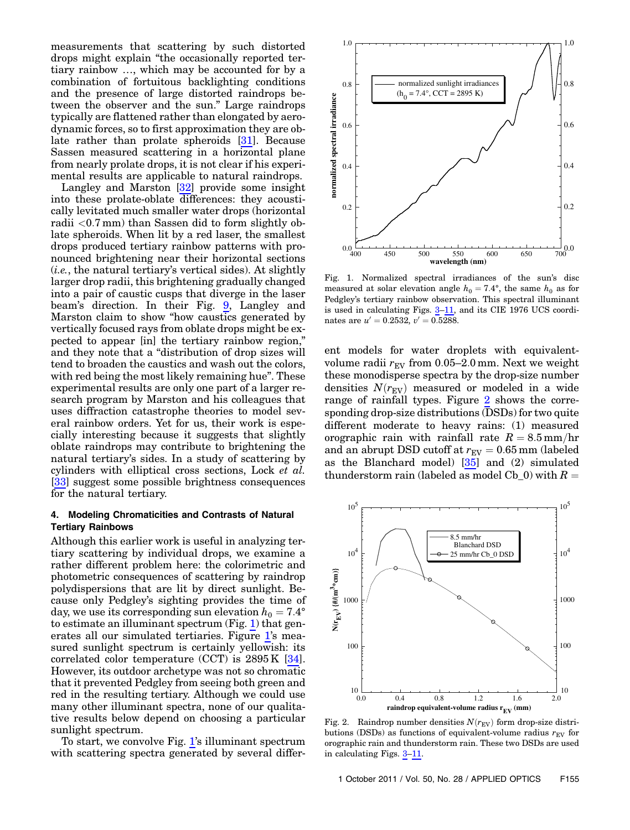measurements that scattering by such distorted drops might explain "the occasionally reported tertiary rainbow …, which may be accounted for by a combination of fortuitous backlighting conditions and the presence of large distorted raindrops between the observer and the sun." Large raindrops typically are flattened rather than elongated by aerodynamic forces, so to first approximation they are oblate rather than prolate spheroids [31]. Because Sassen measured scattering in a horizontal plane from nearly prolate drops, it is not clear if his experimental results are applicable to natural raindrops.

Langley and Marston [32] provide some insight into these prolate-oblate differences: they acoustically levitated much smaller water drops (horizontal radii  $<$  0.7 mm) than Sassen did to form slightly oblate spheroids. When lit by a red laser, the smallest drops produced tertiary rainbow patterns with pronounced brightening near their horizontal sections  $(i.e.,$  the natural tertiary's vertical sides). At slightly larger drop radii, this brightening gradually changed into a pair of caustic cusps that diverge in the laser beam's direction. In their Fig. [9,](#page-6-0) Langley and Marston claim to show "how caustics generated by vertically focused rays from oblate drops might be expected to appear [in] the tertiary rainbow region," and they note that a "distribution of drop sizes will tend to broaden the caustics and wash out the colors, with red being the most likely remaining hue". These experimental results are only one part of a larger research program by Marston and his colleagues that uses diffraction catastrophe theories to model several rainbow orders. Yet for us, their work is especially interesting because it suggests that slightly oblate raindrops may contribute to brightening the natural tertiary's sides. In a study of scattering by cylinders with elliptical cross sections, Lock et al. [33] suggest some possible brightness consequences for the natural tertiary.

# 4. Modeling Chromaticities and Contrasts of Natural Tertiary Rainbows

Although this earlier work is useful in analyzing tertiary scattering by individual drops, we examine a rather different problem here: the colorimetric and photometric consequences of scattering by raindrop polydispersions that are lit by direct sunlight. Because only Pedgley's sighting provides the time of day, we use its corresponding sun elevation  $h_0 = 7.4^\circ$ to estimate an illuminant spectrum (Fig. [1](#page-3-0)) that generates all our simulated tertiaries. Figure [1](#page-3-0)'s measured sunlight spectrum is certainly yellowish: its correlated color temperature (CCT) is 2895 K [34]. However, its outdoor archetype was not so chromatic that it prevented Pedgley from seeing both green and red in the resulting tertiary. Although we could use many other illuminant spectra, none of our qualitative results below depend on choosing a particular sunlight spectrum.

To start, we convolve Fig. [1](#page-3-0)'s illuminant spectrum with scattering spectra generated by several differ-

<span id="page-3-0"></span>

Fig. 1. Normalized spectral irradiances of the sun's disc measured at solar elevation angle  $h_0 = 7.4^{\circ}$ , the same  $h_0$  as for Pedgley's tertiary rainbow observation. This spectral illuminant is used in calculating Figs. [3](#page-4-0)–[11,](#page-7-0) and its CIE 1976 UCS coordinates are  $u' = 0.2532$ ,  $v' = 0.5288$ .

ent models for water droplets with equivalentvolume radii  $r_{EV}$  from 0.05–2.0 mm. Next we weight these monodisperse spectra by the drop-size number densities  $N(r_{\text{EV}})$  measured or modeled in a wide range of rainfall types. Figure [2](#page-3-1) shows the corresponding drop-size distributions (DSDs) for two quite different moderate to heavy rains: (1) measured orographic rain with rainfall rate  $R = 8.5 \text{ mm/hr}$ and an abrupt DSD cutoff at  $r_{\text{EV}} = 0.65$  mm (labeled as the Blanchard model) [35] and (2) simulated thunderstorm rain (labeled as model Cb 0) with  $R =$ 

<span id="page-3-1"></span>

Fig. 2. Raindrop number densities  $N(r_{EV})$  form drop-size distributions (DSDs) as functions of equivalent-volume radius  $r_{EV}$  for orographic rain and thunderstorm rain. These two DSDs are used in calculating Figs. [3](#page-4-0)–[11](#page-7-0).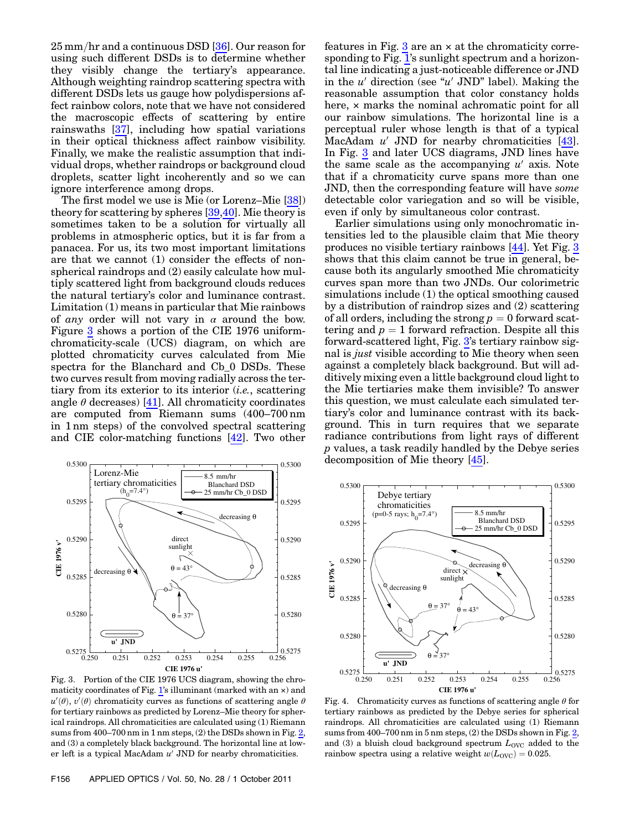$25 \,\mathrm{mm/hr}$  and a continuous DSD [ $36$ ]. Our reason for using such different DSDs is to determine whether they visibly change the tertiary's appearance. Although weighting raindrop scattering spectra with different DSDs lets us gauge how polydispersions affect rainbow colors, note that we have not considered the macroscopic effects of scattering by entire rainswaths [37], including how spatial variations in their optical thickness affect rainbow visibility. Finally, we make the realistic assumption that individual drops, whether raindrops or background cloud droplets, scatter light incoherently and so we can ignore interference among drops.

The first model we use is Mie (or Lorenz–Mie [38]) theory for scattering by spheres [39,40]. Mie theory is sometimes taken to be a solution for virtually all problems in atmospheric optics, but it is far from a panacea. For us, its two most important limitations are that we cannot (1) consider the effects of nonspherical raindrops and (2) easily calculate how multiply scattered light from background clouds reduces the natural tertiary's color and luminance contrast. Limitation (1) means in particular that Mie rainbows of any order will not vary in  $\alpha$  around the bow. Figure [3](#page-4-0) shows a portion of the CIE 1976 uniformchromaticity-scale (UCS) diagram, on which are plotted chromaticity curves calculated from Mie spectra for the Blanchard and Cb\_0 DSDs. These two curves result from moving radially across the tertiary from its exterior to its interior (i.e., scattering angle  $\theta$  decreases) [41]. All chromaticity coordinates are computed from Riemann sums (400–700 nm in 1 nm steps) of the convolved spectral scattering and CIE color-matching functions [42]. Two other

<span id="page-4-0"></span>

Fig. 3. Portion of the CIE 1976 UCS diagram, showing the chro-maticity coordinates of Fig. [1](#page-3-0)'s illuminant (marked with an  $\times$ ) and  $u'(\theta)$ ,  $v'(\theta)$  chromaticity curves as functions of scattering angle  $\theta$ for tertiary rainbows as predicted by Lorenz–Mie theory for spherical raindrops. All chromaticities are calculated using (1) Riemann sums from 400–700 nm in 1 nm steps, (2) the DSDs shown in Fig. [2,](#page-3-1) and (3) a completely black background. The horizontal line at lower left is a typical MacAdam  $u'$  JND for nearby chromaticities.

features in Fig.  $3$  are an  $\times$  at the chromaticity corresponding to Fig. [1](#page-3-0)'s sunlight spectrum and a horizontal line indicating a just-noticeable difference or JND in the  $u'$  direction (see " $u'$  JND" label). Making the reasonable assumption that color constancy holds here, × marks the nominal achromatic point for all our rainbow simulations. The horizontal line is a perceptual ruler whose length is that of a typical MacAdam  $u'$  JND for nearby chromaticities [43]. In Fig. [3](#page-4-0) and later UCS diagrams, JND lines have the same scale as the accompanying  $u'$  axis. Note that if a chromaticity curve spans more than one JND, then the corresponding feature will have some detectable color variegation and so will be visible, even if only by simultaneous color contrast.

Earlier simulations using only monochromatic intensities led to the plausible claim that Mie theory produces no visible tertiary rainbows [44]. Yet Fig. [3](#page-4-0) shows that this claim cannot be true in general, because both its angularly smoothed Mie chromaticity curves span more than two JNDs. Our colorimetric simulations include (1) the optical smoothing caused by a distribution of raindrop sizes and (2) scattering of all orders, including the strong  $p = 0$  forward scattering and  $p = 1$  forward refraction. Despite all this forward-scattered light, Fig. [3](#page-4-0)'s tertiary rainbow signal is just visible according to Mie theory when seen against a completely black background. But will additively mixing even a little background cloud light to the Mie tertiaries make them invisible? To answer this question, we must calculate each simulated tertiary's color and luminance contrast with its background. This in turn requires that we separate radiance contributions from light rays of different p values, a task readily handled by the Debye series decomposition of Mie theory [45].

<span id="page-4-1"></span>

Fig. 4. Chromaticity curves as functions of scattering angle  $\theta$  for tertiary rainbows as predicted by the Debye series for spherical raindrops. All chromaticities are calculated using (1) Riemann sums from 400–700 nm in 5 nm steps, (2) the DSDs shown in Fig. [2,](#page-3-1) and (3) a bluish cloud background spectrum  $L_{\text{OVC}}$  added to the rainbow spectra using a relative weight  $w(L_{\text{OVC}}) = 0.025$ .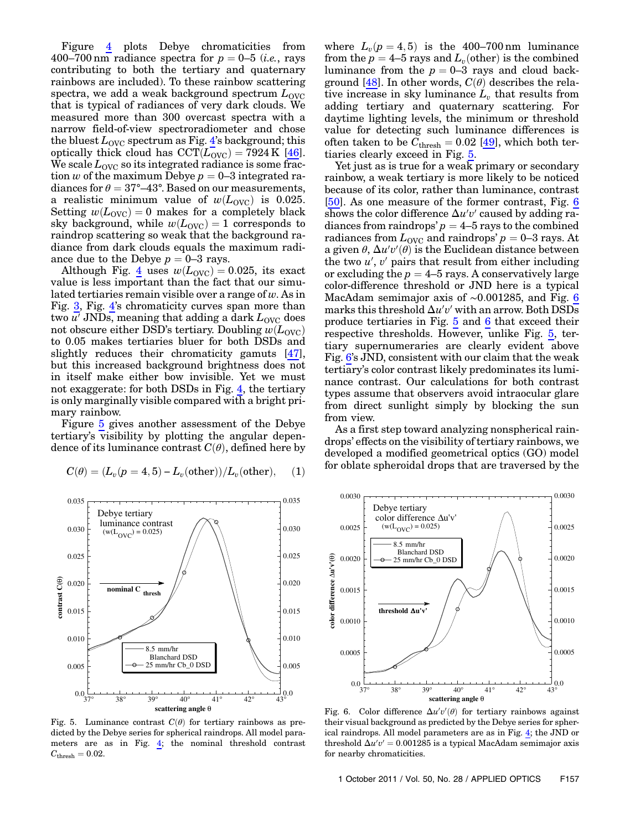Figure [4](#page-4-1) plots Debye chromaticities from 400–700 nm radiance spectra for  $p = 0$ –5 (*i.e.*, rays contributing to both the tertiary and quaternary rainbows are included). To these rainbow scattering spectra, we add a weak background spectrum  $L_{\text{OVC}}$ that is typical of radiances of very dark clouds. We measured more than 300 overcast spectra with a narrow field-of-view spectroradiometer and chose the bluest  $L_{\text{OVC}}$  spectrum as Fig. [4](#page-4-1)'s background; this optically thick cloud has  $CCT(L_{\text{OVC}}) = 7924 \text{ K}$  [46]. We scale  $L_{\text{OVC}}$  so its integrated radiance is some fraction w of the maximum Debye  $p = 0-3$  integrated radiances for  $\theta = 37^{\circ} - 43^{\circ}$ . Based on our measurements, a realistic minimum value of  $w(L_{\text{OVC}})$  is 0.025. Setting  $w(L_{\text{OVC}}) = 0$  makes for a completely black sky background, while  $w(L_{\text{OVC}}) = 1$  corresponds to raindrop scattering so weak that the background radiance from dark clouds equals the maximum radiance due to the Debye  $p = 0-3$  rays.

Although Fig. [4](#page-4-1) uses  $w(L_{\text{OVC}}) = 0.025$ , its exact value is less important than the fact that our simulated tertiaries remain visible over a range of  $w$ . As in Fig. [3](#page-4-0), Fig. [4](#page-4-1)'s chromaticity curves span more than two  $u'$  JNDs, meaning that adding a dark  $L_{\text{OVC}}$  does not obscure either DSD's tertiary. Doubling  $w(L_{\text{OVC}})$ to 0.05 makes tertiaries bluer for both DSDs and slightly reduces their chromaticity gamuts [47], but this increased background brightness does not in itself make either bow invisible. Yet we must not exaggerate: for both DSDs in Fig. [4,](#page-4-1) the tertiary is only marginally visible compared with a bright primary rainbow.

Figure [5](#page-5-0) gives another assessment of the Debye tertiary's visibility by plotting the angular dependence of its luminance contrast  $C(\theta)$ , defined here by

<span id="page-5-2"></span>
$$
C(\theta) = (L_v(p=4,5) - L_v(\text{other}))/L_v(\text{other}), \quad (1)
$$

<span id="page-5-0"></span>

Fig. 5. Luminance contrast  $C(\theta)$  for tertiary rainbows as predicted by the Debye series for spherical raindrops. All model parameters are as in Fig. [4](#page-4-1); the nominal threshold contrast  $C_{\text{thresh}} = 0.02.$ 

where  $L_v(p=4,5)$  is the 400–700 nm luminance from the  $p = 4$ –5 rays and  $L<sub>v</sub>(other)$  is the combined luminance from the  $p = 0-3$  rays and cloud background [48]. In other words,  $C(\theta)$  describes the relative increase in sky luminance  $L_v$  that results from adding tertiary and quaternary scattering. For daytime lighting levels, the minimum or threshold value for detecting such luminance differences is often taken to be  $\widetilde{C}_{\rm thresh} = 0.02$  [49], which both tertiaries clearly exceed in Fig. [5.](#page-5-0)

Yet just as is true for a weak primary or secondary rainbow, a weak tertiary is more likely to be noticed because of its color, rather than luminance, contrast [50]. As one measure of the former contrast, Fig. [6](#page-5-1) shows the color difference  $\Delta u'v'$  caused by adding radiances from raindrops'  $p = 4$ –5 rays to the combined radiances from  $L_{\text{OVC}}$  and raindrops'  $p = 0-3$  rays. At a given  $\theta$ ,  $\Delta u'v'(\theta)$  is the Euclidean distance between the two  $u'$ ,  $v'$  pairs that result from either including or excluding the  $p = 4$ –5 rays. A conservatively large color-difference threshold or JND here is a typical MacAdam semimajor axis of <sup>∼</sup>0:001285, and Fig. [6](#page-5-1) marks this threshold  $\Delta u'v'$  with an arrow. Both DSDs produce tertiaries in Fig. [5](#page-5-0) and [6](#page-5-1) that exceed their respective thresholds. However, unlike Fig. [5](#page-5-0), tertiary supernumeraries are clearly evident above Fig. [6](#page-5-1)'s JND, consistent with our claim that the weak tertiary's color contrast likely predominates its luminance contrast. Our calculations for both contrast types assume that observers avoid intraocular glare from direct sunlight simply by blocking the sun from view.

As a first step toward analyzing nonspherical raindrops' effects on the visibility of tertiary rainbows, we developed a modified geometrical optics (GO) model for oblate spheroidal drops that are traversed by the

<span id="page-5-1"></span>

Fig. 6. Color difference  $\Delta u'v'(\theta)$  for tertiary rainbows against their visual background as predicted by the Debye series for spherical raindrops. All model parameters are as in Fig. [4;](#page-4-1) the JND or threshold  $\Delta u'v' = 0.001285$  is a typical MacAdam semimajor axis for nearby chromaticities.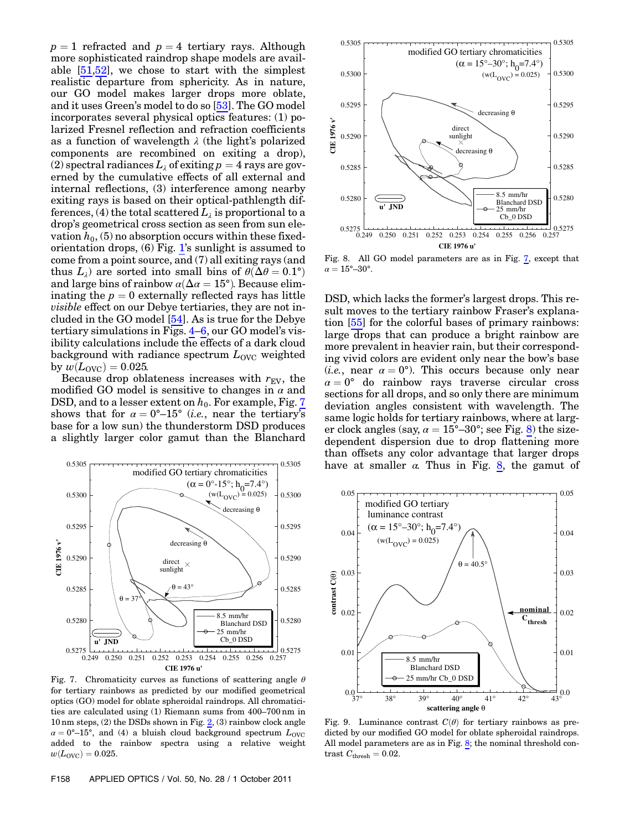$p = 1$  refracted and  $p = 4$  tertiary rays. Although more sophisticated raindrop shape models are available [51,52], we chose to start with the simplest realistic departure from sphericity. As in nature, our GO model makes larger drops more oblate, and it uses Green's model to do so [53]. The GO model incorporates several physical optics features: (1) polarized Fresnel reflection and refraction coefficients as a function of wavelength  $\lambda$  (the light's polarized components are recombined on exiting a drop), (2) spectral radiances  $L_{\lambda}$  of exiting  $p = 4$  rays are governed by the cumulative effects of all external and internal reflections, (3) interference among nearby exiting rays is based on their optical-pathlength differences, (4) the total scattered  $L_{\lambda}$  is proportional to a drop's geometrical cross section as seen from sun elevation  $h_0$ , (5) no absorption occurs within these fixedorientation drops, (6) Fig. [1](#page-3-0)'s sunlight is assumed to come from a point source, and (7) all exiting rays (and thus  $L_{\lambda}$ ) are sorted into small bins of  $\theta(\Delta \theta = 0.1^{\circ})$ and large bins of rainbow  $\alpha(\Delta \alpha = 15^{\circ})$ . Because eliminating the  $p = 0$  externally reflected rays has little visible effect on our Debye tertiaries, they are not included in the GO model [54]. As is true for the Debye tertiary simulations in Figs. [4](#page-4-1)–[6,](#page-5-1) our GO model's visibility calculations include the effects of a dark cloud background with radiance spectrum  $L_{\text{OVC}}$  weighted by  $w(L_{\text{OVC}}) = 0.025$ .

Because drop oblateness increases with  $r_{EV}$ , the modified GO model is sensitive to changes in  $\alpha$  and DSD, and to a lesser extent on  $h_0$ . For example, Fig. [7](#page-6-1) shows that for  $\alpha = 0^{\circ}-15^{\circ}$  (*i.e.*, near the tertiary's base for a low sun) the thunderstorm DSD produces a slightly larger color gamut than the Blanchard

<span id="page-6-1"></span>

Fig. 7. Chromaticity curves as functions of scattering angle  $\theta$ for tertiary rainbows as predicted by our modified geometrical optics (GO) model for oblate spheroidal raindrops. All chromaticities are calculated using (1) Riemann sums from 400–700 nm in 10 nm steps, (2) the DSDs shown in Fig. [2,](#page-3-1) (3) rainbow clock angle  $\alpha = 0^{\circ}-15^{\circ}$ , and (4) a bluish cloud background spectrum  $L_{\text{OVC}}$ added to the rainbow spectra using a relative weight  $w(L_{\text{OVC}}) = 0.025.$ 

<span id="page-6-2"></span>

Fig. 8. All GO model parameters are as in Fig. [7](#page-6-1), except that  $\alpha = 15^{\circ} - 30^{\circ}$ .

DSD, which lacks the former's largest drops. This result moves to the tertiary rainbow Fraser's explanation [55] for the colorful bases of primary rainbows: large drops that can produce a bright rainbow are more prevalent in heavier rain, but their corresponding vivid colors are evident only near the bow's base (*i.e.*, near  $\alpha = 0^{\circ}$ ). This occurs because only near  $\alpha = 0^{\circ}$  do rainbow rays traverse circular cross sections for all drops, and so only there are minimum deviation angles consistent with wavelength. The same logic holds for tertiary rainbows, where at larger clock angles (say,  $\alpha = 15^{\circ} - 30^{\circ}$ ; see Fig. [8\)](#page-6-2) the sizedependent dispersion due to drop flattening more than offsets any color advantage that larger drops have at smaller  $\alpha$ . Thus in Fig. [8,](#page-6-2) the gamut of

<span id="page-6-0"></span>

Fig. 9. Luminance contrast  $C(\theta)$  for tertiary rainbows as predicted by our modified GO model for oblate spheroidal raindrops. All model parameters are as in Fig. [8;](#page-6-2) the nominal threshold contrast  $C_{\text{thresh}} = 0.02$ .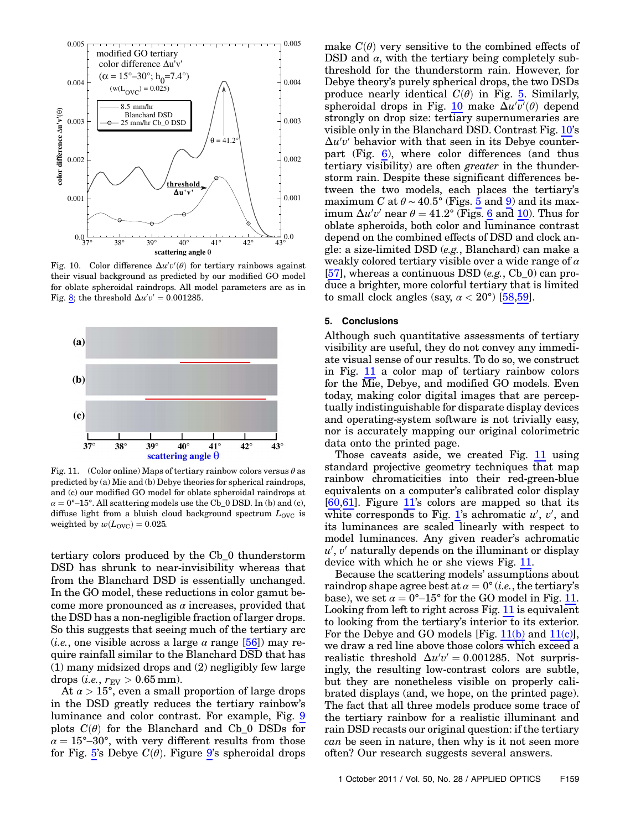<span id="page-7-1"></span>

Fig. 10. Color difference  $\Delta u'v'(\theta)$  for tertiary rainbows against their visual background as predicted by our modified GO model for oblate spheroidal raindrops. All model parameters are as in Fig. [8](#page-6-2); the threshold  $\Delta u'v' = 0.001285$ .

<span id="page-7-0"></span>

<span id="page-7-2"></span>Fig. 11. (Color online) Maps of tertiary rainbow colors versus  $\theta$  as predicted by (a) Mie and (b) Debye theories for spherical raindrops, and (c) our modified GO model for oblate spheroidal raindrops at  $\alpha = 0^{\circ}-15^{\circ}$ . All scattering models use the Cb\_0 DSD. In (b) and (c), diffuse light from a bluish cloud background spectrum  $L_{\text{OVC}}$  is weighted by  $w(L_{\text{OVC}}) = 0.025$ .

tertiary colors produced by the Cb\_0 thunderstorm DSD has shrunk to near-invisibility whereas that from the Blanchard DSD is essentially unchanged. In the GO model, these reductions in color gamut become more pronounced as  $\alpha$  increases, provided that the DSD has a non-negligible fraction of larger drops. So this suggests that seeing much of the tertiary arc (*i.e.*, one visible across a large  $\alpha$  range [56]) may require rainfall similar to the Blanchard DSD that has (1) many midsized drops and (2) negligibly few large drops (*i.e.*,  $r_{\text{EV}} > 0.65$  mm).

At  $\alpha > 15^{\circ}$ , even a small proportion of large drops in the DSD greatly reduces the tertiary rainbow's luminance and color contrast. For example, Fig. [9](#page-6-0) plots  $C(\theta)$  for the Blanchard and Cb\_0 DSDs for  $\alpha = 15^{\circ} - 30^{\circ}$ , with very different results from those for Fig. [5](#page-5-0)'s Debye  $C(\theta)$ . Figure [9](#page-6-0)'s spheroidal drops

make  $C(\theta)$  very sensitive to the combined effects of DSD and  $\alpha$ , with the tertiary being completely subthreshold for the thunderstorm rain. However, for Debye theory's purely spherical drops, the two DSDs produce nearly identical  $C(\theta)$  in Fig. [5.](#page-5-0) Similarly, spheroidal drops in Fig. [10](#page-7-1) make  $\Delta u'v'(\theta)$  depend strongly on drop size: tertiary supernumeraries are visible only in the Blanchard DSD. Contrast Fig. [10](#page-7-1)'s  $\Delta u'v'$  behavior with that seen in its Debye counterpart (Fig. [6](#page-5-1)), where color differences (and thus tertiary visibility) are often greater in the thunderstorm rain. Despite these significant differences between the two models, each places the tertiary's maximum C at  $\theta \sim 40.5^{\circ}$  $\theta \sim 40.5^{\circ}$  $\theta \sim 40.5^{\circ}$  (Figs. 5 and [9](#page-6-0)) and its maximum  $\Delta u'v'$  near  $\theta = 41.2^{\circ}$  (Figs. [6](#page-5-1) and [10\)](#page-7-1). Thus for oblate spheroids, both color and luminance contrast depend on the combined effects of DSD and clock angle: a size-limited DSD (e.g., Blanchard) can make a weakly colored tertiary visible over a wide range of  $\alpha$ [57], whereas a continuous DSD (e.g., Cb 0) can produce a brighter, more colorful tertiary that is limited to small clock angles (say,  $\alpha < 20^{\circ}$ ) [58,59].

#### 5. Conclusions

Although such quantitative assessments of tertiary visibility are useful, they do not convey any immediate visual sense of our results. To do so, we construct in Fig. [11](#page-7-0) a color map of tertiary rainbow colors for the Mie, Debye, and modified GO models. Even today, making color digital images that are perceptually indistinguishable for disparate display devices and operating-system software is not trivially easy, nor is accurately mapping our original colorimetric data onto the printed page.

Those caveats aside, we created Fig. [11](#page-7-0) using standard projective geometry techniques that map rainbow chromaticities into their red-green-blue equivalents on a computer's calibrated color display [60,61]. Figure [11](#page-7-0)'s colors are mapped so that its white corresponds to Fig. [1](#page-3-0)'s achromatic  $u'$ ,  $v'$ , and its luminances are scaled linearly with respect to model luminances. Any given reader's achromatic  $u'$ ,  $v'$  naturally depends on the illuminant or display device with which he or she views Fig. [11](#page-7-0).

Because the scattering models' assumptions about raindrop shape agree best at  $\alpha = 0^{\circ}$  (*i.e.*, the tertiary's base), we set  $\alpha = 0^{\circ}-15^{\circ}$  for the GO model in Fig. [11](#page-7-0). Looking from left to right across Fig. [11](#page-7-0) is equivalent to looking from the tertiary's interior to its exterior. For the Debye and GO models [Fig. [11\(b\)](#page-7-2) and [11\(c\)](#page-7-2)], we draw a red line above those colors which exceed a realistic threshold  $\Delta u'v' = 0.001285$ . Not surprisingly, the resulting low-contrast colors are subtle, but they are nonetheless visible on properly calibrated displays (and, we hope, on the printed page). The fact that all three models produce some trace of the tertiary rainbow for a realistic illuminant and rain DSD recasts our original question: if the tertiary can be seen in nature, then why is it not seen more often? Our research suggests several answers.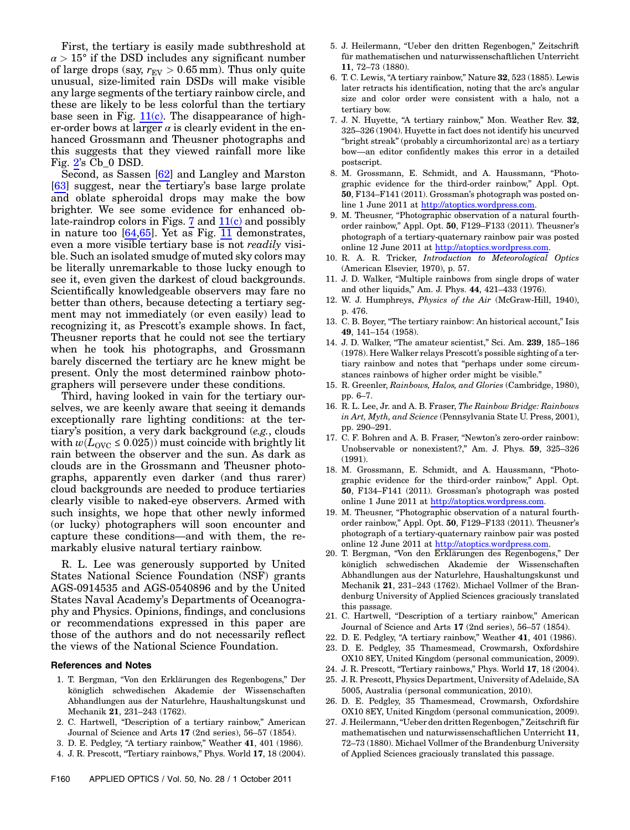First, the tertiary is easily made subthreshold at  $\alpha > 15^{\circ}$  if the DSD includes any significant number of large drops (say,  $r_{EV} > 0.65$  mm). Thus only quite unusual, size-limited rain DSDs will make visible any large segments of the tertiary rainbow circle, and these are likely to be less colorful than the tertiary base seen in Fig.  $11(c)$ . The disappearance of higher-order bows at larger  $\alpha$  is clearly evident in the enhanced Grossmann and Theusner photographs and this suggests that they viewed rainfall more like Fig. [2](#page-3-1)'s Cb\_0 DSD.

Second, as Sassen [62] and Langley and Marston [63] suggest, near the tertiary's base large prolate and oblate spheroidal drops may make the bow brighter. We see some evidence for enhanced ob-late-raindrop colors in Figs. [7](#page-6-1) and  $11(c)$  and possibly in nature too [64,65]. Yet as Fig. [11](#page-7-0) demonstrates, even a more visible tertiary base is not readily visible. Such an isolated smudge of muted sky colors may be literally unremarkable to those lucky enough to see it, even given the darkest of cloud backgrounds. Scientifically knowledgeable observers may fare no better than others, because detecting a tertiary segment may not immediately (or even easily) lead to recognizing it, as Prescott's example shows. In fact, Theusner reports that he could not see the tertiary when he took his photographs, and Grossmann barely discerned the tertiary arc he knew might be present. Only the most determined rainbow photographers will persevere under these conditions.

Third, having looked in vain for the tertiary ourselves, we are keenly aware that seeing it demands exceptionally rare lighting conditions: at the tertiary's position, a very dark background (e.g., clouds with  $w(L_{\text{OVC}} \leq 0.025)$  must coincide with brightly lit rain between the observer and the sun. As dark as clouds are in the Grossmann and Theusner photographs, apparently even darker (and thus rarer) cloud backgrounds are needed to produce tertiaries clearly visible to naked-eye observers. Armed with such insights, we hope that other newly informed (or lucky) photographers will soon encounter and capture these conditions—and with them, the remarkably elusive natural tertiary rainbow.

R. L. Lee was generously supported by United States National Science Foundation (NSF) grants AGS-0914535 and AGS-0540896 and by the United States Naval Academy's Departments of Oceanography and Physics. Opinions, findings, and conclusions or recommendations expressed in this paper are those of the authors and do not necessarily reflect the views of the National Science Foundation.

#### References and Notes

- 1. T. Bergman, "Von den Erklärungen des Regenbogens," Der königlich schwedischen Akademie der Wissenschaften Abhandlungen aus der Naturlehre, Haushaltungskunst und Mechanik 21, 231–243 (1762).
- 2. C. Hartwell, "Description of a tertiary rainbow," American Journal of Science and Arts 17 (2nd series), 56–57 (1854).
- 3. D. E. Pedgley, "A tertiary rainbow," Weather 41, 401 (1986).
- 4. J. R. Prescott, "Tertiary rainbows," Phys. World 17, 18 (2004).
- 5. J. Heilermann, "Ueber den dritten Regenbogen," Zeitschrift für mathematischen und naturwissenschaftlichen Unterricht 11, 72–73 (1880).
- 6. T. C. Lewis, "A tertiary rainbow," Nature 32, 523 (1885). Lewis later retracts his identification, noting that the arc's angular size and color order were consistent with a halo, not a tertiary bow.
- 7. J. N. Huyette, "A tertiary rainbow," Mon. Weather Rev. 32, 325–326 (1904). Huyette in fact does not identify his uncurved "bright streak" (probably a circumhorizontal arc) as a tertiary bow—an editor confidently makes this error in a detailed postscript.
- <span id="page-8-0"></span>8. M. Grossmann, E. Schmidt, and A. Haussmann, "Photographic evidence for the third-order rainbow," Appl. Opt. 50, F134–F141 (2011). Grossman's photograph was posted online 1 June 2011 at <http://atoptics.wordpress.com>.
- <span id="page-8-1"></span>9. M. Theusner, "Photographic observation of a natural fourthorder rainbow," Appl. Opt. 50, F129–F133 (2011). Theusner's photograph of a tertiary-quaternary rainbow pair was posted online 12 June 2011 at <http://atoptics.wordpress.com>.
- 10. R. A. R. Tricker, Introduction to Meteorological Optics (American Elsevier, 1970), p. 57.
- 11. J. D. Walker, "Multiple rainbows from single drops of water and other liquids," Am. J. Phys. 44, 421–433 (1976).
- 12. W. J. Humphreys, Physics of the Air (McGraw-Hill, 1940), p. 476.
- 13. C. B. Boyer, "The tertiary rainbow: An historical account," Isis 49, 141–154 (1958).
- 14. J. D. Walker, "The amateur scientist," Sci. Am. 239, 185–186 (1978). Here Walker relays Prescott's possible sighting of a tertiary rainbow and notes that "perhaps under some circumstances rainbows of higher order might be visible."
- 15. R. Greenler, Rainbows, Halos, and Glories (Cambridge, 1980), pp. 6–7.
- 16. R. L. Lee, Jr. and A. B. Fraser, The Rainbow Bridge: Rainbows in Art, Myth, and Science (Pennsylvania State U. Press, 2001), pp. 290–291.
- 17. C. F. Bohren and A. B. Fraser, "Newton's zero-order rainbow: Unobservable or nonexistent?," Am. J. Phys. 59, 325–326 (1991).
- 18. M. Grossmann, E. Schmidt, and A. Haussmann, "Photographic evidence for the third-order rainbow," Appl. Opt. 50, F134–F141 (2011). Grossman's photograph was posted online 1 June 2011 at [http://atoptics.wordpress.com.](http://atoptics.wordpress.com)
- 19. M. Theusner, "Photographic observation of a natural fourthorder rainbow," Appl. Opt. 50, F129–F133 (2011). Theusner's photograph of a tertiary-quaternary rainbow pair was posted online 12 June 2011 at <http://atoptics.wordpress.com>.
- 20. T. Bergman, "Von den Erklärungen des Regenbogens," Der königlich schwedischen Akademie der Wissenschaften Abhandlungen aus der Naturlehre, Haushaltungskunst und Mechanik 21, 231–243 (1762). Michael Vollmer of the Brandenburg University of Applied Sciences graciously translated this passage.
- 21. C. Hartwell, "Description of a tertiary rainbow," American Journal of Science and Arts 17 (2nd series), 56–57 (1854).
- 22. D. E. Pedgley, "A tertiary rainbow," Weather 41, 401 (1986).
- 23. D. E. Pedgley, 35 Thamesmead, Crowmarsh, Oxfordshire OX10 8EY, United Kingdom (personal communication, 2009).
- 24. J. R. Prescott, "Tertiary rainbows," Phys. World 17, 18 (2004).
- 25. J. R. Prescott, Physics Department, University of Adelaide, SA 5005, Australia (personal communication, 2010).
- 26. D. E. Pedgley, 35 Thamesmead, Crowmarsh, Oxfordshire OX10 8EY, United Kingdom (personal communication, 2009).
- 27. J. Heilermann,"Ueber den dritten Regenbogen," Zeitschrift für mathematischen und naturwissenschaftlichen Unterricht 11, 72–73 (1880). Michael Vollmer of the Brandenburg University of Applied Sciences graciously translated this passage.